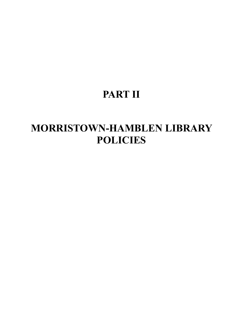# **PART II**

# **MORRISTOWN-HAMBLEN LIBRARY POLICIES**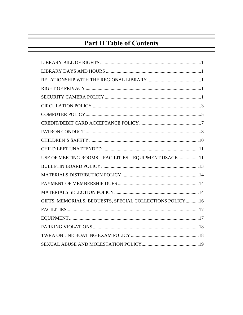## **Part II Table of Contents**

| USE OF MEETING ROOMS - FACILITIES - EQUIPMENT USAGE 11    |
|-----------------------------------------------------------|
|                                                           |
|                                                           |
|                                                           |
|                                                           |
| GIFTS, MEMORIALS, BEQUESTS, SPECIAL COLLECTIONS POLICY 16 |
|                                                           |
|                                                           |
|                                                           |
|                                                           |
|                                                           |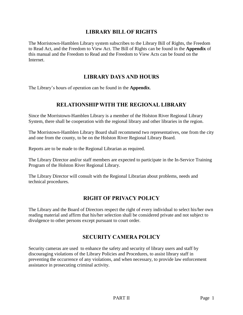### **LIBRARY BILL OF RIGHTS**

The Morristown-Hamblen Library system subscribes to the Library Bill of Rights, the Freedom to Read Act, and the Freedom to View Act. The Bill of Rights can be found in the **Appendix** of this manual and the Freedom to Read and the Freedom to View Acts can be found on the Internet.

### **LIBRARY DAYS AND HOURS**

The Library's hours of operation can be found in the **Appendix**.

## **RELATIONSHIP WITH THE REGIONAL LIBRARY**

Since the Morristown-Hamblen Library is a member of the Holston River Regional Library System, there shall be cooperation with the regional library and other libraries in the region.

The Morristown-Hamblen Library Board shall recommend two representatives, one from the city and one from the county, to be on the Holston River Regional Library Board.

Reports are to be made to the Regional Librarian as required.

The Library Director and/or staff members are expected to participate in the In-Service Training Program of the Holston River Regional Library.

The Library Director will consult with the Regional Librarian about problems, needs and technical procedures.

## **RIGHT OF PRIVACY POLICY**

The Library and the Board of Directors respect the right of every individual to select his/her own reading material and affirm that his/her selection shall be considered private and not subject to divulgence to other persons except pursuant to court order.

## **SECURITY CAMERA POLICY**

Security cameras are used to enhance the safety and security of library users and staff by discouraging violations of the Library Policies and Procedures, to assist library staff in preventing the occurrence of any violations, and when necessary, to provide law enforcement assistance in prosecuting criminal activity.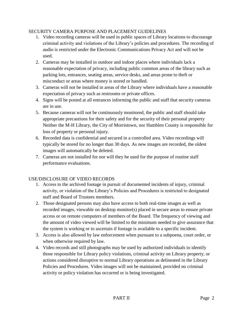#### SECURITY CAMERA PURPOSE AND PLACEMENT GUIDELINES

- 1. Video recording cameras will be used in public spaces of Library locations to discourage criminal activity and violations of the Library's policies and procedures. The recording of audio is restricted under the Electronic Communications Privacy Act and will not be used.
- 2. Cameras may be installed in outdoor and indoor places where individuals lack a reasonable expectation of privacy, including public common areas of the library such as parking lots, entrances, seating areas, service desks, and areas prone to theft or misconduct or areas where money is stored or handled.
- 3. Cameras will not be installed in areas of the Library where individuals have a reasonable expectation of privacy such as restrooms or private offices.
- 4. Signs will be posted at all entrances informing the public and staff that security cameras are in use.
- 5. Because cameras will not be continuously monitored, the public and staff should take appropriate precautions for their safety and for the security of their personal property Neither the M-H Library, the City of Morristown, nor Hamblen County is responsible for loss of property or personal injury.
- 6. Recorded data is confidential and secured in a controlled area. Video recordings will typically be stored for no longer than 30 days. As new images are recorded, the oldest images will automatically be deleted.
- 7. Cameras are not installed for nor will they be used for the purpose of routine staff performance evaluations.

#### USE/DISCLOSURE OF VIDEO RECORDS

- 1. Access to the archived footage in pursuit of documented incidents of injury, criminal activity, or violation of the Library's Policies and Procedures is restricted to designated staff and Board of Trustees members.
- 2. Those designated persons may also have access to both real-time images as well as recorded images, viewable on desktop monitor(s) placed in secure areas to ensure private access or on remote computers of members of the Board. The frequency of viewing and the amount of video viewed will be limited to the minimum needed to give assurance that the system is working or to ascertain if footage is available to a specific incident.
- 3. Access is also allowed by law enforcement when pursuant to a subpoena, court order, or when otherwise required by law.
- 4. Video records and still photographs may be used by authorized individuals to identify those responsible for Library policy violations, criminal activity on Library property, or actions considered disruptive to normal Library operations as delineated in the Library Policies and Procedures. Video images will not be maintained, provided no criminal activity or policy violation has occurred or is being investigated.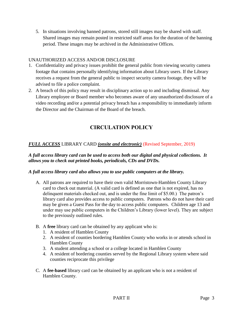5. In situations involving banned patrons, stored still images may be shared with staff. Shared images may remain posted in restricted staff areas for the duration of the banning period. These images may be archived in the Administrative Offices.

#### UNAUTHORIZED ACCESS AND/OR DISCLOSURE

- 1. Confidentiality and privacy issues prohibit the general public from viewing security camera footage that contains personally identifying information about Library users. If the Library receives a request from the general public to inspect security camera footage, they will be advised to file a police complaint.
- 2. A breach of this policy may result in disciplinary action up to and including dismissal. Any Library employee or Board member who becomes aware of any unauthorized disclosure of a video recording and/or a potential privacy breach has a responsibility to immediately inform the Director and the Chairman of the Board of the breach.

## **CIRCULATION POLICY**

#### *FULL ACCESS* LIBRARY CARD *(onsite and electronic)* (Revised September, 2019)

#### *A full access library card can be used to access both our digital and physical collections. It allows you to check out printed books, periodicals, CDs and DVDs.*

#### *A full access library card also allows you to use public computers at the library.*

- A. All patrons are required to have their own valid Morristown-Hamblen County Library card to check out material. (A valid card is defined as one that is not expired, has no delinquent materials checked out, and is under the fine limit of \$5.00.) The patron's library card also provides access to public computers. Patrons who do not have their card may be given a Guest Pass for the day to access public computers. Children age 13 and under may use public computers in the Children's Library (lower level). They are subject to the previously outlined rules.
- B. A **free** library card can be obtained by any applicant who is:
	- 1. A resident of Hamblen County
	- 2. A resident of counties bordering Hamblen County who works in or attends school in Hamblen County
	- 3. A student attending a school or a college located in Hamblen County
	- 4. A resident of bordering counties served by the Regional Library system where said counties reciprocate this privilege
- C. A **fee-based** library card can be obtained by an applicant who is not a resident of Hamblen County.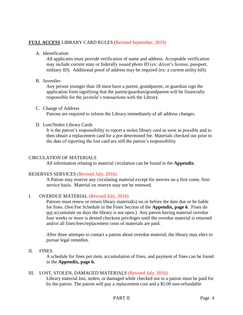#### *FULL ACCESS* LIBRARY CARD RULES (Revised September, 2019)

A. Identification

All applicants must provide verification of name and address. Acceptable verification may include current state or federally issued photo ID (ex: driver's license, passport, military ID). Additional proof of address may be required (ex: a current utility bill).

#### B. Juveniles

Any person younger than 18 must have a parent, grandparent, or guardian sign the application form signifying that the parent/guardian/grandparent will be financially responsible for the juvenile's transactions with the Library.

#### C. Change of Address

Patrons are required to inform the Library immediately of all address changes.

#### D. Lost/Stolen Library Cards

It is the patron's responsibility to report a stolen library card as soon as possible and to then obtain a replacement card for a pre-determined fee. Materials checked out prior to the date of reporting the lost card are still the patron's responsibility

#### CIRCULATION OF MATERIALS

All information relating to material circulation can be found in the **Appendix**.

#### RESERVES SERVICES (Revised July, 2016)

A Patron may reserve any circulating material except for movies on a first come, firstservice basis. Material on reserve may not be renewed.

#### I. OVERDUE MATERIAL (Revised July, 2016)

Patrons must renew or return library material(s) on or before the date due or be liable for fines. (See Fee Schedule in the Fines Section of the **Appendix, page 6**. Fines do not accumulate on days the library is not open.) Any patron having material overdue four weeks or more is denied checkout privileges until the overdue material is returned and/or all fines/fees/replacement costs of materials are paid.

After three attempts to contact a patron about overdue material, the library may elect to pursue legal remedies.

II. FINES

A schedule for fines per item, accumulation of fines, and payment of fines can be found in the **Appendix, page 6.**

#### III. LOST, STOLEN, DAMAGED MATERIALS (Revised July, 2016)

Library material lost, stolen, or damaged while checked out to a patron must be paid for by the patron. The patron will pay a replacement cost and a \$5.00 non-refundable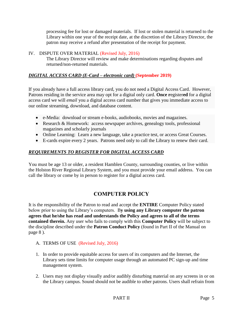processing fee for lost or damaged materials. If lost or stolen material is returned to the Library within one year of the receipt date, at the discretion of the Library Director, the patron may receive a refund after presentation of the receipt for payment.

#### IV. DISPUTE OVER MATERIAL (Revised July, 2016)

The Library Director will review and make determinations regarding disputes and returned/non-returned materials.

#### *DIGITAL ACCESS CARD (E-Card – electronic card)* **(September 2019)**

If you already have a full access library card, you do not need a Digital Access Card. However, Patrons residing in the service area may opt for a digital only card. **Once r**egister**ed** for a digital access card we will *email* you a digital access card number that gives you immediate access to our online streaming, download, and database content.

- e-Media: download or stream e-books, audiobooks, movies and magazines.
- Research & Homework: access newspaper archives, genealogy tools, professional magazines and scholarly journals
- Online Learning: Learn a new language, take a practice test, or access Great Courses.
- E-cards expire every 2 years. Patrons need only to call the Library to renew their card.

#### *REQUIREMENTS TO REGISTER FOR DIGITAL ACCESS CARD*

You must be age 13 or older, a resident Hamblen County, surrounding counties, or live within the Holston River Regional Library System, and you must provide your email address. You can call the library or come by in person to register for a digital access card.

## **COMPUTER POLICY**

It is the responsibility of the Patron to read and accept the **ENTIRE** Computer Policy stated below prior to using the Library's computers. B**y using any Library computer the patron agrees that he/she has read and understands the Policy and agrees to all of the terms contained therein.** Any user who fails to comply with this **Computer Policy** will be subject to the discipline described under the **Patron Conduct Policy** (found in Part II of the Manual on page 8 ).

#### A. TERMS OF USE (Revised July, 2016)

- 1. In order to provide equitable access for users of its computers and the Internet, the Library sets time limits for computer usage through an automated PC sign-up and time management system.
- 2. Users may not display visually and/or audibly disturbing material on any screens in or on the Library campus. Sound should not be audible to other patrons. Users shall refrain from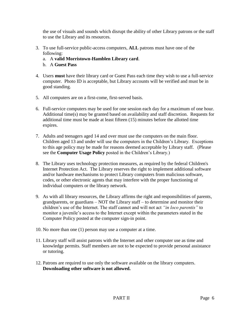the use of visuals and sounds which disrupt the ability of other Library patrons or the staff to use the Library and its resources.

- 3. To use full-service public-access computers, **ALL** patrons must have one of the following:
	- a. A **valid Morristown-Hamblen Library card**.
	- b. A **Guest Pass**
- 4. Users **must** have their library card or Guest Pass each time they wish to use a full-service computer. Photo ID is acceptable, but Library accounts will be verified and must be in good standing.
- 5. All computers are on a first-come, first-served basis.
- 6. Full-service computers may be used for one session each day for a maximum of one hour. Additional time(s) may be granted based on availability and staff discretion. Requests for additional time must be made at least fifteen (15) minutes before the allotted time expires.
- 7. Adults and teenagers aged 14 and over must use the computers on the main floor. Children aged 13 and under will use the computers in the Children's Library. Exceptions to this age policy may be made for reasons deemed acceptable by Library staff. (Please see the **Computer Usage Policy** posted in the Children's Library.)
- 8. The Library uses technology protection measures, as required by the federal Children's Internet Protection Act. The Library reserves the right to implement additional software and/or hardware mechanisms to protect Library computers from malicious software, codes, or other electronic agents that may interfere with the proper functioning of individual computers or the library network.
- 9. As with all library resources, the Library affirms the right and responsibilities of parents, grandparents, or guardians – NOT the Library staff – to determine and monitor their children's use of the Internet. The staff cannot and will not act *"in loco parentis"* to monitor a juvenile's access to the Internet except within the parameters stated in the Computer Policy posted at the computer sign-in point.
- 10. No more than one (1) person may use a computer at a time.
- 11. Library staff will assist patrons with the Internet and other computer use as time and knowledge permits. Staff members are not to be expected to provide personal assistance or tutoring.
- 12. Patrons are required to use only the software available on the library computers. **Downloading other software is not allowed.**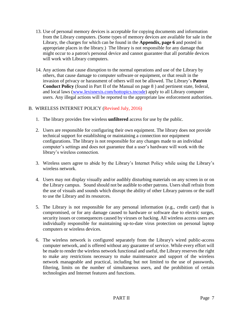- 13. Use of personal memory devices is acceptable for copying documents and information from the Library computers. (Some types of memory devices are available for sale in the Library, the charges for which can be found in the **Appendix, page 6** and posted in appropriate places in the library.) The library is not responsible for any damage that might occur to a patron's personal device and cannot guarantee that all portable devices will work with Library computers.
- 14. Any actions that cause disruption to the normal operations and use of the Library by others, that cause damage to computer software or equipment, or that result in the invasion of privacy or harassment of others will not be allowed. The Library's **Patron Conduct Policy** (found in Part II of the Manual on page 8 ) and pertinent state, federal, and local laws [\(www.lexisnexis.com/hottopics.tncode\)](http://www.lexisnexis.com/hottopics.tncode) apply to all Library computer users. Any illegal actions will be reported to the appropriate law enforcement authorities.

#### B. WIRELESS INTERNET POLICY (Revised July, 2016)

- 1. The library provides free wireless **unfiltered** access for use by the public.
- 2. Users are responsible for configuring their own equipment. The library does not provide technical support for establishing or maintaining a connection nor equipment configurations. The library is not responsible for any changes made to an individual computer's settings and does not guarantee that a user's hardware will work with the library's wireless connection.
- 3. Wireless users agree to abide by the Library's Internet Policy while using the Library's wireless network.
- 4. Users may not display visually and/or audibly disturbing materials on any screen in or on the Library campus. Sound should not be audible to other patrons. Users shall refrain from the use of visuals and sounds which disrupt the ability of other Library patrons or the staff to use the Library and its resources.
- 5. The Library is not responsible for any personal information (e.g., credit card) that is compromised, or for any damage caused to hardware or software due to electric surges, security issues or consequences caused by viruses or hacking. All wireless access users are individually responsible for maintaining up-to-date virus protection on personal laptop computers or wireless devices.
- 6. The wireless network is configured separately from the Library's wired public-access computer network, and is offered without any guarantee of service. While every effort will be made to render the wireless network functional and useful, the Library reserves the right to make any restrictions necessary to make maintenance and support of the wireless network manageable and practical, including but not limited to the use of passwords, filtering, limits on the number of simultaneous users, and the prohibition of certain technologies and Internet features and functions.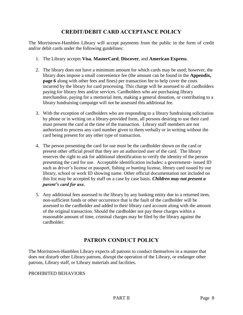## **CREDIT/DEBIT CARD ACCEPTANCE POLICY**

The Morristown-Hamblen Library will accept payments from the public in the form of credit and/or debit cards under the following guidelines:

- 1. The Library accepts **Visa**, **MasterCard**, **Discover**, and **American Express**.
- 2. The library does not have a minimum amount for which cards may be used; however, the library does impose a small convenience fee (the amount can be found in the **Appendix, page 6** along with other fees and fines) per transaction fee to help cover the costs incurred by the library for card processing. This charge will be assessed to all cardholders paying for library fees and/or services. Cardholders who are purchasing library merchandise, paying for a memorial item, making a general donation, or contributing to a library fundraising campaign will not be assessed this additional fee.
- 3. With the exception of cardholders who are responding to a library fundraising solicitation by phone or in writing on a library-provided form, all persons desiring to use their card must present the card at the time of the transaction. Library staff members are not authorized to process any card number given to them verbally or in writing without the card being present for any other type of transaction.
- 4. The person presenting the card for use must be the cardholder shown on the card or present other official proof that they are an authorized user of the card. The library reserves the right to ask for additional identification to verify the identity of the person presenting the card for use. Acceptable identification includes: a government- issued ID such as driver's license or passport, fishing or hunting license, library card issued by our library, school or work ID showing name. Other official documentation not included on this list may be accepted by staff on a case by case basis. *Children may not present a parent's card for use.*
- 5. Any additional fees assessed to the library by any banking entity due to a returned item, non-sufficient funds or other occurrence that is the fault of the cardholder will be assessed to the cardholder and added to their library card account along with the amount of the original transaction. Should the cardholder not pay these charges within a reasonable amount of time, criminal charges may be filed by the library against the cardholder.

## **PATRON CONDUCT POLICY**

The Morristown-Hamblen Library expects all patrons to conduct themselves in a manner that does not disturb other Library patrons, disrupt the operation of the Library, or endanger other patrons, Library staff, or Library materials and facilities.

#### PROHIBITED BEHAVIORS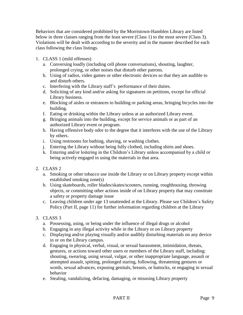Behaviors that are considered prohibited by the Morristown-Hamblen Library are listed below in three classes ranging from the least severe (Class 1) to the most severe (Class 3). Violations will be dealt with according to the severity and in the manner described for each class following the class listings.

- 1. CLASS 1 (mild offenses)
	- a. Conversing loudly (including cell phone conversations), shouting, laughter, prolonged crying, or other noises that disturb other patrons.
	- b. Using of radios, video games or other electronic devices so that they are audible to and disturb others.
	- c. Interfering with the Library staff's performance of their duties.
	- d. Soliciting of any kind and/or asking for signatures on petitions, except for official Library business.
	- e. Blocking of aisles or entrances to building or parking areas, bringing bicycles into the building.
	- f. Eating or drinking within the Library unless at an authorized Library event.
	- g. Bringing animals into the building, except for service animals or as part of an authorized Library event or program.
	- h. Having offensive body odor to the degree that it interferes with the use of the Library by others.
	- i. Using restrooms for bathing, shaving, or washing clothes.
	- j. Entering the Library without being fully clothed, including shirts and shoes.
	- k. Entering and/or loitering in the Children's Library unless accompanied by a child or being actively engaged in using the materials in that area.
- 2. CLASS 2
	- a. Smoking or other tobacco use inside the Library or on Library property except within established smoking zone(s)
	- b. Using skateboards, roller blades/skates/scooters, running, roughhousing, throwing objects, or committing other actions inside of on Library property that may constitute a safety or property damage issue
	- c. Leaving children under age 13 unattended at the Library. Please see Children's Safety Policy (Part II, page 11) for further information regarding children at the Library
- 3. CLASS 3
	- a. Possessing, using, or being under the influence of illegal drugs or alcohol
	- b. Engaging in any illegal activity while in the Library or on Library property
	- c. Displaying and/or playing visually and/or audibly disturbing materials on any device in or on the Library campus.
	- d. Engaging in physical, verbal, visual, or sexual harassment, intimidation, threats, gestures, or actions toward other users or members of the Library staff, including: shouting, swearing, using sexual, vulgar, or other inappropriate language, assault or attempted assault, spitting, prolonged staring, following, threatening gestures or words, sexual advances, exposing genitals, breasts, or buttocks, or engaging in sexual behavior
	- e. Stealing, vandalizing, defacing, damaging, or misusing Library property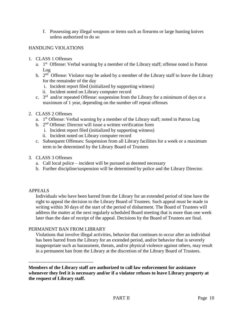f. Possessing any illegal weapons or items such as firearms or large hunting knives unless authorized to do so

#### HANDLING VIOLATIONS

- 1. CLASS 1 Offenses
	- a. 1<sup>st</sup> Offense: Verbal warning by a member of the Library staff; offense noted in Patron Log
	- b.  $2<sup>nd</sup>$  Offense: Violator may be asked by a member of the Library staff to leave the Library for the remainder of the day
		- i. Incident report filed (initialized by supporting witness)
		- ii. Incident noted on Library computer record
	- c.  $3<sup>rd</sup>$  and/or repeated Offense: suspension from the Library for a minimum of days or a maximum of 1 year, depending on the number off repeat offenses
- 2. CLASS 2 Offenses
	- a. 1<sup>st</sup> Offense: Verbal warning by a member of the Library staff; noted in Patron Log
	- b. 2<sup>nd</sup> Offense: Director will issue a written verification form
		- i. Incident report filed (initialized by supporting witness)
		- ii. Incident noted on Library computer record
	- c. Subsequent Offenses: Suspension from all Library facilities for a week or a maximum term to be determined by the Library Board of Trustees
- 3. CLASS 3 Offenses
	- a. Call local police incident will be pursued as deemed necessary
	- b. Further discipline/suspension will be determined by police and the Library Director.

#### APPEALS

Individuals who have been barred from the Library for an extended period of time have the right to appeal the decision to the Library Board of Trustees. Such appeal must be made in writing within 30 days of the start of the period of disbarment. The Board of Trustees will address the matter at the next regularly scheduled Board meeting that is more than one week later than the date of receipt of the appeal. Decisions by the Board of Trustees are final.

#### PERMANENT BAN FROM LIBRARY

Violations that involve illegal activities, behavior that continues to occur after an individual has been barred from the Library for an extended period, and/or behavior that is severely inappropriate such as harassment, threats, and/or physical violence against others, may result in a permanent ban from the Library at the discretion of the Library Board of Trustees.

#### -----------------------------------------

**Members of the Library staff are authorized to call law enforcement for assistance whenever they feel it is necessary and/or if a violator refuses to leave Library property at the request of Library staff.**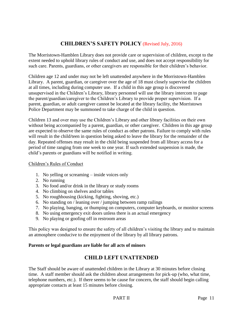## **CHILDREN'S SAFETY POLICY** (Revised July, 2016)

The Morristown-Hamblen Library does not provide care or supervision of children, except to the extent needed to uphold library rules of conduct and use, and does not accept responsibility for such care. Parents, guardians, or other caregivers are responsible for their children's behavior.

Children age 12 and under may not be left unattended anywhere in the Morristown-Hamblen Library. A parent, guardian, or caregiver over the age of 18 must closely supervise the children at all times, including during computer use. If a child in this age group is discovered unsupervised in the Children's Library, library personnel will use the library intercom to page the parent/guardian/caregiver to the Children's Library to provide proper supervision. If a parent, guardian, or adult caregiver cannot be located at the library facility, the Morristown Police Department may be summoned to take charge of the child in question.

Children 13 and over may use the Children's Library and other library facilities on their own without being accompanied by a parent, guardian, or other caregiver. Children in this age group are expected to observe the same rules of conduct as other patrons. Failure to comply with rules will result in the child/teen in question being asked to leave the library for the remainder of the day. Repeated offenses may result in the child being suspended from all library access for a period of time ranging from one week to one year. If such extended suspension is made, the child's parents or guardians will be notified in writing.

#### Children's Rules of Conduct

- 1. No yelling or screaming inside voices only
- 2. No running
- 3. No food and/or drink in the library or study rooms
- 4. No climbing on shelves and/or tables
- 5. No roughhousing (kicking, fighting, shoving, etc.)
- 6. No standing on / leaning over / jumping between ramp railings
- 7. No playing, banging, or thumping on computers, computer keyboards, or monitor screens
- 8. No using emergency exit doors unless there is an actual emergency
- 9. No playing or goofing off in restroom areas

This policy was designed to ensure the safety of all children's visiting the library and to maintain an atmosphere conducive to the enjoyment of the library by all library patrons.

#### **Parents or legal guardians are liable for all acts of minors**

## **CHILD LEFT UNATTENDED**

The Staff should be aware of unattended children in the Library at 30 minutes before closing time. A staff member should ask the children about arrangements for pick-up (who, what time, telephone numbers, etc.). If there seems to be cause for concern, the staff should begin calling appropriate contacts at least 15 minutes before closing.

PART II Page 11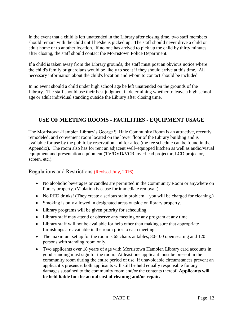In the event that a child is left unattended in the Library after closing time, two staff members should remain with the child until he/she is picked up. The staff should never drive a child or adult home or to another location. If no one has arrived to pick up the child by thirty minutes after closing, the staff should contact the Morristown Police Department.

If a child is taken away from the Library grounds, the staff must post an obvious notice where the child's family or guardians would be likely to see it if they should arrive at this time. All necessary information about the child's location and whom to contact should be included.

In no event should a child under high school age be left unattended on the grounds of the Library. The staff should use their best judgment in determining whether to leave a high school age or adult individual standing outside the Library after closing time.

## **USE OF MEETING ROOMS - FACILITIES - EQUIPMENT USAGE**

The Morristown-Hamblen Library's George S. Hale Community Room is an attractive, recently remodeled, and convenient room located on the lower floor of the Library building and is available for use by the public by reservation and for a fee (the fee schedule can be found in the Appendix). The room also has for rent an adjacent well–equipped kitchen as well as audio/visual equipment and presentation equipment (TV/DVD/VCR, overhead projector, LCD projector, screen, etc.).

## Regulations and Restrictions (Revised July, 2016)

- No alcoholic beverages or candles are permitted in the Community Room or anywhere on library property. (Violation is cause for immediate removal.)
- No RED drinks! (They create a serious stain problem you will be charged for cleaning.)
- Smoking is only allowed in designated areas outside on library property.
- Library programs will be given priority for scheduling.
- Library staff may attend or observe any meeting or any program at any time.
- Library staff will not be available for help other than making sure that appropriate furnishings are available in the room prior to each meeting.
- The maximum set up for the room is 65 chairs at tables, 80-100 open seating and 120 persons with standing room only.
- Two applicants over 18 years of age with Morristown Hamblen Library card accounts in good standing must sign for the room. At least one applicant must be present in the community room during the entire period of use. If unavoidable circumstances prevent an applicant's presence, both applicants will still be held equally responsible for any damages sustained to the community room and/or the contents thereof. **Applicants will be held liable for the actual cost of cleaning and/or repair.**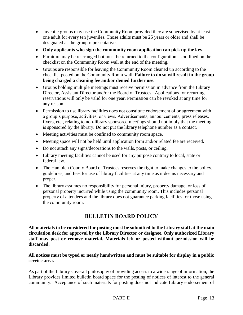- Juvenile groups may use the Community Room provided they are supervised by at least one adult for every ten juveniles. Those adults must be 25 years or older and shall be designated as the group representatives.
- **Only applicants who sign the community room application can pick up the key.**
- Furniture may be rearranged but must be returned to the configuration as outlined on the checklist on the Community Room wall at the end of the meeting.
- Groups are responsible for leaving the Community Room cleaned up according to the checklist posted on the Community Room wall. **Failure to do so will result in the group being charged a cleaning fee and/or denied further use.**
- Groups holding multiple meetings must receive permission in advance from the Library Director, Assistant Director and/or the Board of Trustees. Applications for recurring reservations will only be valid for one year. Permission can be revoked at any time for any reason.
- Permission to use library facilities does not constitute endorsement of or agreement with a group's purpose, activities, or views. Advertisements, announcements, press releases, flyers, etc., relating to non-library sponsored meetings should not imply that the meeting is sponsored by the library. Do not put the library telephone number as a contact.
- Meeting activities must be confined to community room space.
- Meeting space will not be held until application form and/or related fee are received.
- Do not attach any signs/decorations to the walls, posts, or ceiling.
- Library meeting facilities cannot be used for any purpose contrary to local, state or federal law.
- The Hamblen County Board of Trustees reserves the right to make changes to the policy, guidelines, and fees for use of library facilities at any time as it deems necessary and proper.
- The library assumes no responsibility for personal injury, property damage, or loss of personal property incurred while using the community room. This includes personal property of attendees and the library does not guarantee parking facilities for those using the community room.

## **BULLETIN BOARD POLICY**

**All materials to be considered for posting must be submitted to the Library staff at the main circulation desk for approval by the Library Director or designee. Only authorized Library staff may post or remove material. Materials left or posted without permission will be discarded.**

#### **All notices must be typed or neatly handwritten and must be suitable for display in a public service area.**

As part of the Library's overall philosophy of providing access to a wide range of information, the Library provides limited bulletin board space for the posting of notices of interest to the general community. Acceptance of such materials for posting does not indicate Library endorsement of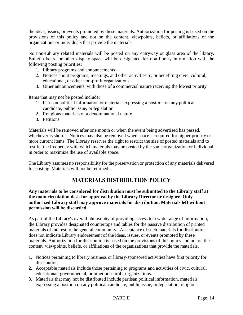the ideas, issues, or events promoted by these materials. Authorization for posting is based on the provisions of this policy and not on the content, viewpoints, beliefs, or affiliations of the organizations or individuals that provide the materials.

No non-Library related materials will be posted on any entryway or glass area of the library. Bulletin board or other display space will be designated for non-library information with the following posting priorities:

- 1. Library programs and announcements
- 2. Notices about programs, meetings, and other activities by or benefiting civic, cultural, educational, or other non-profit organizations
- 3. Other announcements, with those of a commercial nature receiving the lowest priority

Items that may not be posted include:

- 1. Partisan political information or materials expressing a position on any political candidate, public issue, or legislation
- 2. Religious materials of a denominational nature
- 3. Petitions

Materials will be removed after one month or when the event being advertised has passed, whichever is shorter. Notices may also be removed when space is required for higher priority or more current items. The Library reserves the right to restrict the size of posted materials and to restrict the frequency with which materials may be posted by the same organization or individual in order to maximize the use of available space.

The Library assumes no responsibility for the preservation or protection of any materials delivered for posting. Materials will not be returned.

## **MATERIALS DISTRIBUTION POLICY**

**Any materials to be considered for distribution must be submitted to the Library staff at the main circulation desk for approval by the Library Director or designee. Only authorized Library staff may approve materials for distribution. Materials left without permission will be discarded.** 

As part of the Library's overall philosophy of providing access to a wide range of information, the Library provides designated countertops and tables for the passive distribution of printed materials of interest to the general community. Acceptance of such materials for distribution does not indicate Library endorsement of the ideas, issues, or events promoted by these materials. Authorization for distribution is based on the provisions of this policy and not on the content, viewpoints, beliefs, or affiliations of the organizations that provide the materials.

- 1. Notices pertaining to library business or library-sponsored activities have first priority for distribution.
- **2.** Acceptable materials include those pertaining to programs and activities of civic, cultural, educational, governmental, or other non-profit organizations.
- 3. Materials that may not be distributed include partisan political information, materials expressing a position on any political candidate, public issue, or legislation, religious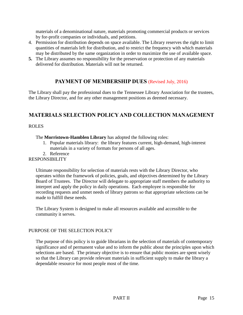materials of a denominational nature, materials promoting commercial products or services by for-profit companies or individuals, and petitions.

- 4. Permission for distribution depends on space available. The Library reserves the right to limit quantities of materials left for distribution, and to restrict the frequency with which materials may be distributed by the same organization in order to maximize the use of available space.
- **5.** The Library assumes no responsibility for the preservation or protection of any materials delivered for distribution. Materials will not be returned.

## **PAYMENT OF MEMBERSHIP DUES** (Revised July, 2016)

The Library shall pay the professional dues to the Tennessee Library Association for the trustees, the Library Director, and for any other management positions as deemed necessary.

## **MATERIALS SELECTION POLICY AND COLLECTION MANAGEMENT**

#### ROLES

The **Morristown-Hamblen Library** has adopted the following roles:

- 1. Popular materials library: the library features current, high-demand, high-interest materials in a variety of formats for persons of all ages.
- 2. Reference

#### RESPONSIBILITY

Ultimate responsibility for selection of materials rests with the Library Director, who operates within the framework of policies, goals, and objectives determined by the Library Board of Trustees. The Director will delegate to appropriate staff members the authority to interpret and apply the policy in daily operations. Each employee is responsible for recording requests and unmet needs of library patrons so that appropriate selections can be made to fulfill these needs.

The Library System is designed to make all resources available and accessible to the community it serves.

#### PURPOSE OF THE SELECTION POLICY

The purpose of this policy is to guide librarians in the selection of materials of contemporary significance and of permanent value and to inform the public about the principles upon which selections are based. The primary objective is to ensure that public monies are spent wisely so that the Library can provide relevant materials in sufficient supply to make the library a dependable resource for most people most of the time.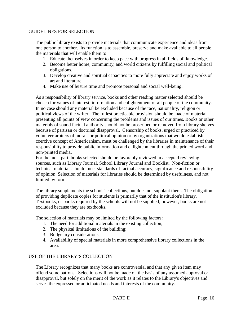#### GUIDELINES FOR SELECTION

The public library exists to provide materials that communicate experience and ideas from one person to another. Its function is to assemble, preserve and make available to all people the materials that will enable them to:

- 1. Educate themselves in order to keep pace with progress in all fields of knowledge.
- 2. Become better home, community, and world citizens by fulfilling social and political obligations.
- 3. Develop creative and spiritual capacities to more fully appreciate and enjoy works of art and literature.
- 4. Make use of leisure time and promote personal and social well-being.

As a responsibility of library service, books and other reading matter selected should be chosen for values of interest, information and enlightenment of all people of the community. In no case should any material be excluded because of the race, nationality, religion or political views of the writer. The fullest practicable provision should be made of material presenting all points of view concerning the problems and issues of our times. Books or other materials of sound factual authority should not be proscribed or removed from library shelves because of partisan or doctrinal disapproval. Censorship of books, urged or practiced by volunteer arbiters of morals or political opinion or by organizations that would establish a coercive concept of Americanism, must be challenged by the libraries in maintenance of their responsibility to provide public information and enlightenment through the printed word and non-printed media.

For the most part, books selected should be favorably reviewed in accepted reviewing sources, such as Library Journal, School Library Journal and Booklist. Non-fiction or technical materials should meet standards of factual accuracy, significance and responsibility of opinion. Selection of materials for libraries should be determined by usefulness, and not limited by form.

The library supplements the schools' collections, but does not supplant them. The obligation of providing duplicate copies for students is primarily that of the institution's library. Textbooks, or books required by the schools will not be supplied; however, books are not excluded because they are textbooks.

The selection of materials may be limited by the following factors:

- 1. The need for additional materials in the existing collection;
- 2. The physical limitations of the building;
- 3. Budgetary considerations;
- 4. Availability of special materials in more comprehensive library collections in the area.

#### USE OF THE LIBRARY'S COLLECTION

The Library recognizes that many books are controversial and that any given item may offend some patrons. Selections will not be made on the basis of any assumed approval or disapproval, but solely on the merit of the work as it relates to the Library's objectives and serves the expressed or anticipated needs and interests of the community.

#### PART II Page 16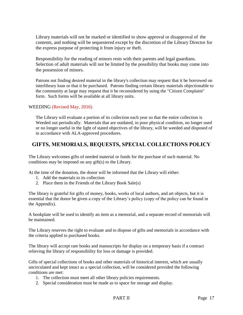Library materials will not be marked or identified to show approval or disapproval of the contents, and nothing will be sequestered except by the discretion of the Library Director for the express purpose of protecting it from injury or theft.

Responsibility for the reading of minors rests with their parents and legal guardians. Selection of adult materials will not be limited by the possibility that books may come into the possession of minors.

Patrons not finding desired material in the library's collection may request that it be borrowed on interlibrary loan or that it be purchased. Patrons finding certain library materials objectionable to the community at large may request that it be reconsidered by using the "Citizen Complaint" form. Such forms will be available at all library units.

#### WEEDING (Revised May, 2016)

The Library will evaluate a portion of its collection each year so that the entire collection is Weeded out periodically. Materials that are outdated, in poor physical condition, no longer used or no longer useful in the light of stated objectives of the library, will be weeded and disposed of in accordance with ALA-approved procedures.

## **GIFTS, MEMORIALS, BEQUESTS, SPECIAL COLLECTIONS POLICY**

The Library welcomes gifts of needed material or funds for the purchase of such material. No conditions may be imposed on any gift(s) to the Library.

At the time of the donation, the donor will be informed that the Library will either:

- 1. Add the materials to its collection
- 2. Place them in the Friends of the Library Book Sale(s)

The library is grateful for gifts of money, books, works of local authors, and art objects, but it is essential that the donor be given a copy of the Library's policy (copy of the policy can be found in the Appendix).

A bookplate will be used to identify an item as a memorial, and a separate record of memorials will be maintained.

The Library reserves the right to evaluate and to dispose of gifts and memorials in accordance with the criteria applied to purchased books.

The library will accept rare books and manuscripts for display on a temporary basis if a contract relieving the library of responsibility for loss or damage is provided.

Gifts of special collections of books and other materials of historical interest, which are usually uncirculated and kept intact as a special collection, will be considered provided the following conditions are met:

- 1. The collection must meet all other library policies requirements.
- 2. Special consideration must be made as to space for storage and display.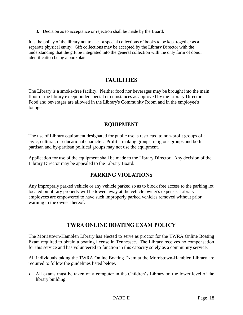3. Decision as to acceptance or rejection shall be made by the Board.

It is the policy of the library not to accept special collections of books to be kept together as a separate physical entity. Gift collections may be accepted by the Library Director with the understanding that the gift be integrated into the general collection with the only form of donor identification being a bookplate.

## **FACILITIES**

The Library is a smoke-free facility. Neither food nor beverages may be brought into the main floor of the library except under special circumstances as approved by the Library Director. Food and beverages are allowed in the Library's Community Room and in the employee's lounge.

## **EQUIPMENT**

The use of Library equipment designated for public use is restricted to non-profit groups of a civic, cultural, or educational character. Profit – making groups, religious groups and both partisan and by-partisan political groups may not use the equipment.

Application for use of the equipment shall be made to the Library Director. Any decision of the Library Director may be appealed to the Library Board.

## **PARKING VIOLATIONS**

Any improperly parked vehicle or any vehicle parked so as to block free access to the parking lot located on library property will be towed away at the vehicle owner's expense. Library employees are empowered to have such improperly parked vehicles removed without prior warning to the owner thereof.

## **TWRA ONLINE BOATING EXAM POLICY**

The Morristown-Hamblen Library has elected to serve as proctor for the TWRA Online Boating Exam required to obtain a boating license in Tennessee. The Library receives no compensation for this service and has volunteered to function in this capacity solely as a community service.

All individuals taking the TWRA Online Boating Exam at the Morristown-Hamblen Library are required to follow the guidelines listed below.

 All exams must be taken on a computer in the Children's Library on the lower level of the library building.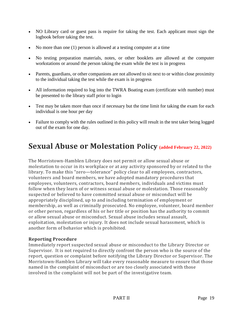- NO Library card or guest pass is require for taking the test. Each applicant must sign the logbook before taking the test.
- No more than one (1) person is allowed at a testing computer at a time
- No testing preparation materials, notes, or other booklets are allowed at the computer workstations or around the person taking the exam while the test is in progress
- Parents, guardians, or other companions are not allowed to sit next to or within close proximity to the individual taking the test while the exam is in progress
- All information required to log into the TWRA Boating exam (certificate with number) must be presented to the library staff prior to login
- Test may be taken more than once if necessary but the time limit for taking the exam for each individual is one hour per day
- Failure to comply with the rules outlined in this policy will result in the test taker being logged out of the exam for one day.

## **Sexual Abuse or Molestation Policy (added February 22, 2022)**

The Morristown-Hamblen Library does not permit or allow sexual abuse or molestation to occur in its workplace or at any activity sponsored by or related to the library. To make this "zero—tolerance" policy clear to all employees, contractors, volunteers and board members, we have adopted mandatory procedures that employees, volunteers, contractors, board members, individuals and victims must follow when they learn of or witness sexual abuse or molestation. Those reasonably suspected or believed to have committed sexual abuse or misconduct will be appropriately disciplined, up to and including termination of employment or membership, as well as criminally prosecuted. No employee, volunteer, board member or other person, regardless of his or her title or position has the authority to commit or allow sexual abuse or misconduct. Sexual abuse includes sexual assault, exploitation, molestation or injury. It does not include sexual harassment, which is another form of behavior which is prohibited.

#### **Reporting Procedure**

Immediately report suspected sexual abuse or misconduct to the Library Director or Supervisor. It is not required to directly confront the person who is the source of the report, question or complaint before notifying the Library Director or Supervisor. The Morristown-Hamblen Library will take every reasonable measure to ensure that those named in the complaint of misconduct or are too closely associated with those involved in the complaint will not be part of the investigative team.